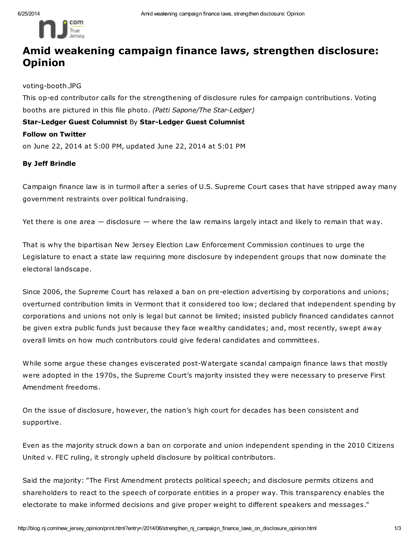

## Amid weakening campaign finance laws, strengthen disclosure: Opinion

voting-booth.JPG

This op-ed contributor calls for the strengthening of disclosure rules for campaign contributions. Voting booths are pictured in this file photo. (Patti Sapone/The Star-Ledger)

Star-Ledger Guest Columnist By Star-Ledger Guest Columnist Follow on Twitter on June 22, 2014 at 5:00 PM, updated June 22, 2014 at 5:01 PM

## By Jeff Brindle

Campaign finance law is in turmoil after a series of U.S. Supreme Court cases that have stripped away many government restraints over political fundraising.

Yet there is one area — disclosure — where the law remains largely intact and likely to remain that way.

That is why the bipartisan New Jersey Election Law Enforcement Commission continues to urge the Legislature to enact a state law requiring more disclosure by independent groups that now dominate the electoral landscape.

Since 2006, the Supreme Court has relaxed a ban on pre-election advertising by corporations and unions; overturned contribution limits in Vermont that it considered too low; declared that independent spending by corporations and unions not only is legal but cannot be limited; insisted publicly financed candidates cannot be given extra public funds just because they face wealthy candidates; and, most recently, swept away overall limits on how much contributors could give federal candidates and committees.

While some argue these changes eviscerated post-Watergate scandal campaign finance laws that mostly were adopted in the 1970s, the Supreme Court's majority insisted they were necessary to preserve First Amendment freedoms.

On the issue of disclosure, however, the nation's high court for decades has been consistent and supportive.

Even as the majority struck down a ban on corporate and union independent spending in the 2010 Citizens United v. FEC ruling, it strongly upheld disclosure by political contributors.

Said the majority: "The First Amendment protects political speech; and disclosure permits citizens and shareholders to react to the speech of corporate entities in a proper way. This transparency enables the electorate to make informed decisions and give proper weight to different speakers and messages."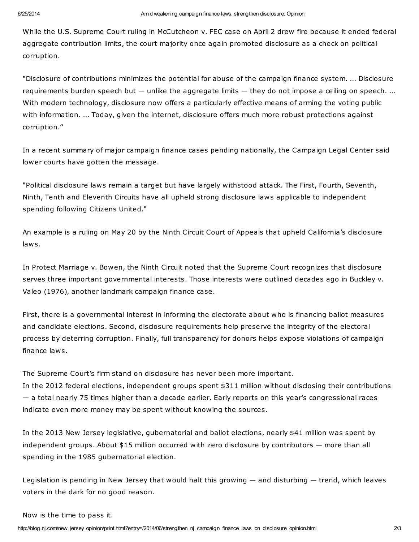While the U.S. Supreme Court ruling in McCutcheon v. FEC case on April 2 drew fire because it ended federal aggregate contribution limits, the court majority once again promoted disclosure as a check on political corruption.

"Disclosure of contributions minimizes the potential for abuse of the campaign finance system. ... Disclosure requirements burden speech but — unlike the aggregate limits — they do not impose a ceiling on speech. ... With modern technology, disclosure now offers a particularly effective means of arming the voting public with information. ... Today, given the internet, disclosure offers much more robust protections against corruption.''

In a recent summary of major campaign finance cases pending nationally, the Campaign Legal Center said lower courts have gotten the message.

"Political disclosure laws remain a target but have largely withstood attack. The First, Fourth, Seventh, Ninth, Tenth and Eleventh Circuits have all upheld strong disclosure laws applicable to independent spending following Citizens United."

An example is a ruling on May 20 by the Ninth Circuit Court of Appeals that upheld California's disclosure laws.

In Protect Marriage v. Bowen, the Ninth Circuit noted that the Supreme Court recognizes that disclosure serves three important governmental interests. Those interests were outlined decades ago in Buckley v. Valeo (1976), another landmark campaign finance case.

First, there is a governmental interest in informing the electorate about who is financing ballot measures and candidate elections. Second, disclosure requirements help preserve the integrity of the electoral process by deterring corruption. Finally, full transparency for donors helps expose violations of campaign finance laws.

The Supreme Court's firm stand on disclosure has never been more important. In the 2012 federal elections, independent groups spent \$311 million without disclosing their contributions — a total nearly 75 times higher than a decade earlier. Early reports on this year's congressional races indicate even more money may be spent without knowing the sources.

In the 2013 New Jersey legislative, gubernatorial and ballot elections, nearly \$41 million was spent by independent groups. About \$15 million occurred with zero disclosure by contributors — more than all spending in the 1985 gubernatorial election.

Legislation is pending in New Jersey that would halt this growing — and disturbing — trend, which leaves voters in the dark for no good reason.

Now is the time to pass it.